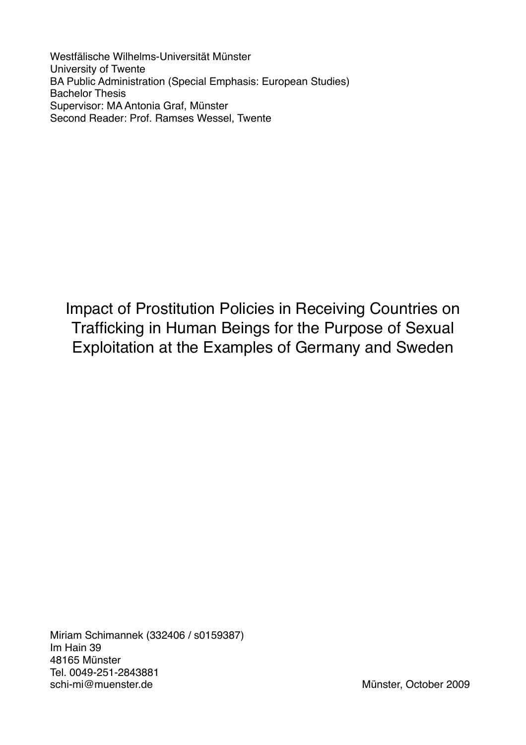Westfälische Wilhelms-Universität Münster University of Twente BA Public Administration (Special Emphasis: European Studies) Bachelor Thesis Supervisor: MA Antonia Graf, Münster Second Reader: Prof. Ramses Wessel, Twente

Impact of Prostitution Policies in Receiving Countries on Trafficking in Human Beings for the Purpose of Sexual Exploitation at the Examples of Germany and Sweden

Miriam Schimannek (332406 / s0159387) Im Hain 39 48165 Münster Tel. 0049-251-2843881 schi-mi@muenster.de Münster Münster, October 2009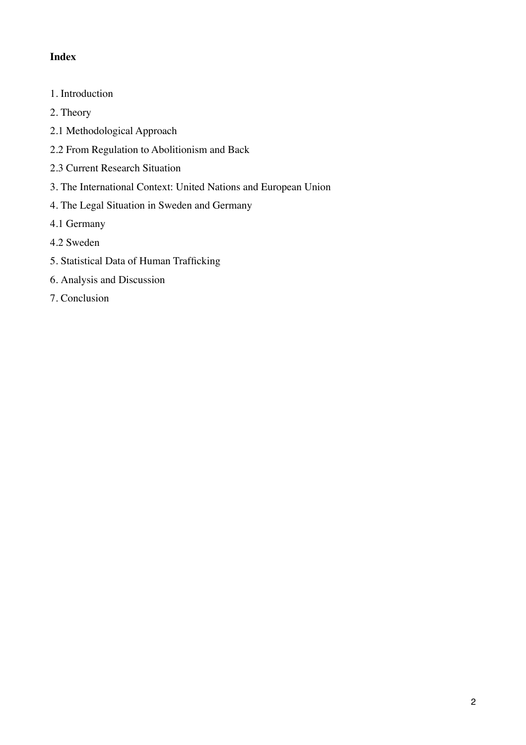# **Index**

- 1. Introduction
- 2. Theory
- 2.1 Methodological Approach
- 2.2 From Regulation to Abolitionism and Back
- 2.3 Current Research Situation
- 3. The International Context: United Nations and European Union
- 4. The Legal Situation in Sweden and Germany
- 4.1 Germany
- 4.2 Sweden
- 5. Statistical Data of Human Trafficking
- 6. Analysis and Discussion
- 7. Conclusion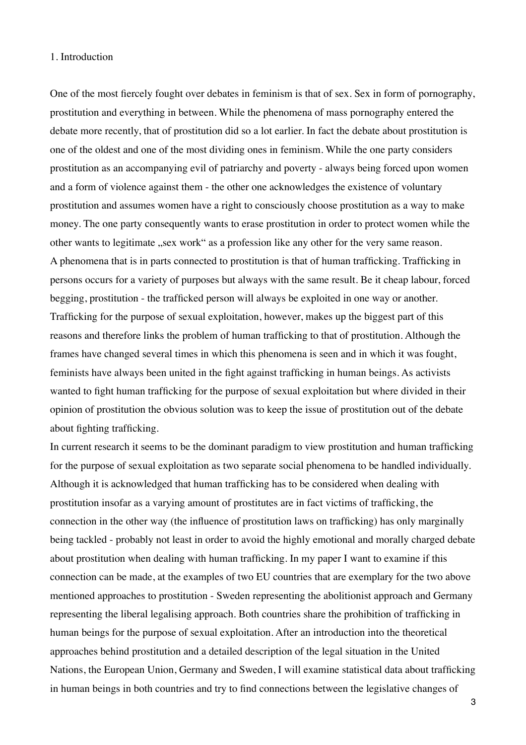#### 1. Introduction

One of the most fiercely fought over debates in feminism is that of sex. Sex in form of pornography, prostitution and everything in between. While the phenomena of mass pornography entered the debate more recently, that of prostitution did so a lot earlier. In fact the debate about prostitution is one of the oldest and one of the most dividing ones in feminism. While the one party considers prostitution as an accompanying evil of patriarchy and poverty - always being forced upon women and a form of violence against them - the other one acknowledges the existence of voluntary prostitution and assumes women have a right to consciously choose prostitution as a way to make money. The one party consequently wants to erase prostitution in order to protect women while the other wants to legitimate "sex work" as a profession like any other for the very same reason. A phenomena that is in parts connected to prostitution is that of human trafficking. Trafficking in persons occurs for a variety of purposes but always with the same result. Be it cheap labour, forced begging, prostitution - the trafficked person will always be exploited in one way or another. Trafficking for the purpose of sexual exploitation, however, makes up the biggest part of this reasons and therefore links the problem of human trafficking to that of prostitution. Although the frames have changed several times in which this phenomena is seen and in which it was fought, feminists have always been united in the fight against trafficking in human beings. As activists wanted to fight human trafficking for the purpose of sexual exploitation but where divided in their opinion of prostitution the obvious solution was to keep the issue of prostitution out of the debate about fighting trafficking.

In current research it seems to be the dominant paradigm to view prostitution and human trafficking for the purpose of sexual exploitation as two separate social phenomena to be handled individually. Although it is acknowledged that human trafficking has to be considered when dealing with prostitution insofar as a varying amount of prostitutes are in fact victims of trafficking, the connection in the other way (the influence of prostitution laws on trafficking) has only marginally being tackled - probably not least in order to avoid the highly emotional and morally charged debate about prostitution when dealing with human trafficking. In my paper I want to examine if this connection can be made, at the examples of two EU countries that are exemplary for the two above mentioned approaches to prostitution - Sweden representing the abolitionist approach and Germany representing the liberal legalising approach. Both countries share the prohibition of trafficking in human beings for the purpose of sexual exploitation. After an introduction into the theoretical approaches behind prostitution and a detailed description of the legal situation in the United Nations, the European Union, Germany and Sweden, I will examine statistical data about trafficking in human beings in both countries and try to find connections between the legislative changes of

3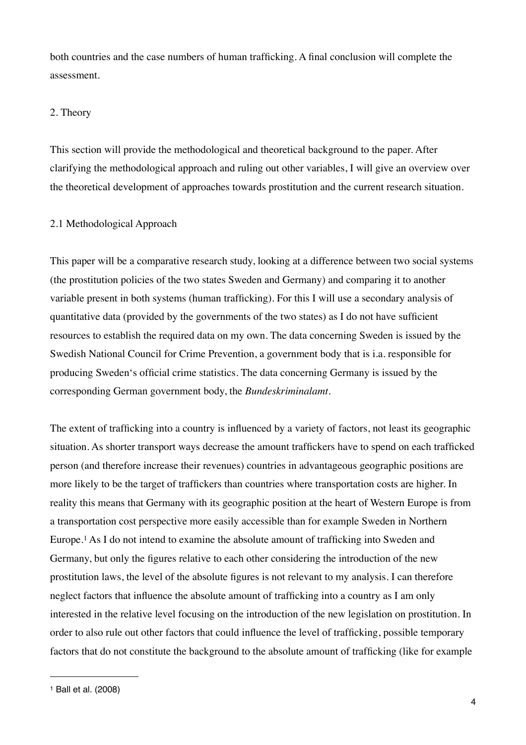both countries and the case numbers of human trafficking. A final conclusion will complete the assessment.

## 2. Theory

This section will provide the methodological and theoretical background to the paper. After clarifying the methodological approach and ruling out other variables, I will give an overview over the theoretical development of approaches towards prostitution and the current research situation.

## 2.1 Methodological Approach

This paper will be a comparative research study, looking at a difference between two social systems (the prostitution policies of the two states Sweden and Germany) and comparing it to another variable present in both systems (human trafficking). For this I will use a secondary analysis of quantitative data (provided by the governments of the two states) as I do not have sufficient resources to establish the required data on my own. The data concerning Sweden is issued by the Swedish National Council for Crime Prevention, a government body that is i.a. responsible for producing Sweden's official crime statistics. The data concerning Germany is issued by the corresponding German government body, the *Bundeskriminalamt*.

The extent of trafficking into a country is influenced by a variety of factors, not least its geographic situation. As shorter transport ways decrease the amount traffickers have to spend on each trafficked person (and therefore increase their revenues) countries in advantageous geographic positions are more likely to be the target of traffickers than countries where transportation costs are higher. In reality this means that Germany with its geographic position at the heart of Western Europe is from a transportation cost perspective more easily accessible than for example Sweden in Northern Europe.[1](#page-3-0) As I do not intend to examine the absolute amount of trafficking into Sweden and Germany, but only the figures relative to each other considering the introduction of the new prostitution laws, the level of the absolute figures is not relevant to my analysis. I can therefore neglect factors that influence the absolute amount of trafficking into a country as I am only interested in the relative level focusing on the introduction of the new legislation on prostitution. In order to also rule out other factors that could influence the level of trafficking, possible temporary factors that do not constitute the background to the absolute amount of trafficking (like for example

<span id="page-3-0"></span><sup>1</sup> Ball et al. (2008)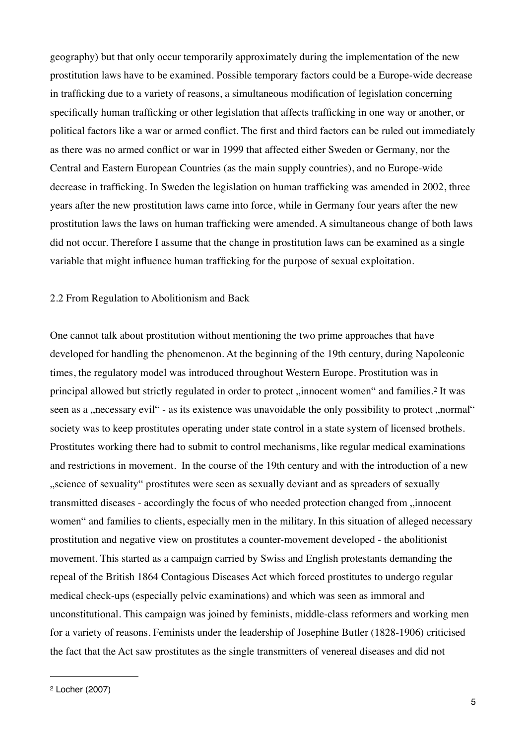geography) but that only occur temporarily approximately during the implementation of the new prostitution laws have to be examined. Possible temporary factors could be a Europe-wide decrease in trafficking due to a variety of reasons, a simultaneous modification of legislation concerning specifically human trafficking or other legislation that affects trafficking in one way or another, or political factors like a war or armed conflict. The first and third factors can be ruled out immediately as there was no armed conflict or war in 1999 that affected either Sweden or Germany, nor the Central and Eastern European Countries (as the main supply countries), and no Europe-wide decrease in trafficking. In Sweden the legislation on human trafficking was amended in 2002, three years after the new prostitution laws came into force, while in Germany four years after the new prostitution laws the laws on human trafficking were amended. A simultaneous change of both laws did not occur. Therefore I assume that the change in prostitution laws can be examined as a single variable that might influence human trafficking for the purpose of sexual exploitation.

#### 2.2 From Regulation to Abolitionism and Back

One cannot talk about prostitution without mentioning the two prime approaches that have developed for handling the phenomenon. At the beginning of the 19th century, during Napoleonic times, the regulatory model was introduced throughout Western Europe. Prostitution was in principal allowed but strictly regulated in order to protect "innocent women" and families.<sup>[2](#page-4-0)</sup> It was seen as a "necessary evil" - as its existence was unavoidable the only possibility to protect "normal" society was to keep prostitutes operating under state control in a state system of licensed brothels. Prostitutes working there had to submit to control mechanisms, like regular medical examinations and restrictions in movement. In the course of the 19th century and with the introduction of a new "science of sexuality" prostitutes were seen as sexually deviant and as spreaders of sexually transmitted diseases - accordingly the focus of who needed protection changed from "innocent women" and families to clients, especially men in the military. In this situation of alleged necessary prostitution and negative view on prostitutes a counter-movement developed - the abolitionist movement. This started as a campaign carried by Swiss and English protestants demanding the repeal of the British 1864 Contagious Diseases Act which forced prostitutes to undergo regular medical check-ups (especially pelvic examinations) and which was seen as immoral and unconstitutional. This campaign was joined by feminists, middle-class reformers and working men for a variety of reasons. Feminists under the leadership of Josephine Butler (1828-1906) criticised the fact that the Act saw prostitutes as the single transmitters of venereal diseases and did not

<span id="page-4-0"></span><sup>2</sup> Locher (2007)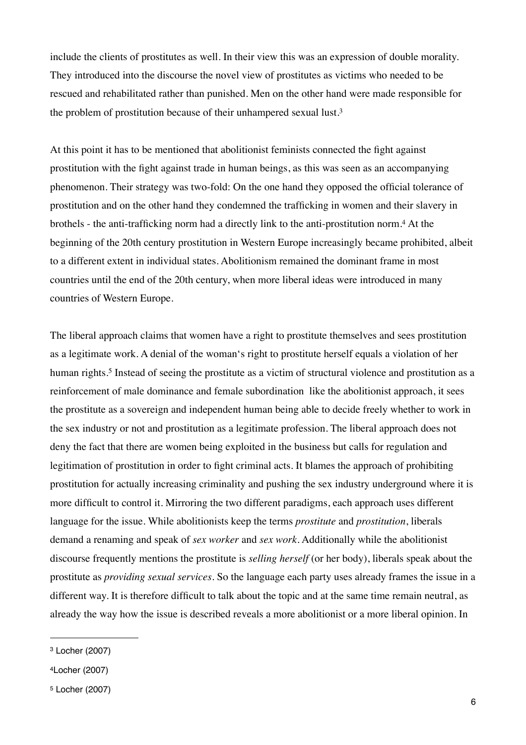include the clients of prostitutes as well. In their view this was an expression of double morality. They introduced into the discourse the novel view of prostitutes as victims who needed to be rescued and rehabilitated rather than punished. Men on the other hand were made responsible for the problem of prostitution because of their unhampered sexual lust.[3](#page-5-0)

At this point it has to be mentioned that abolitionist feminists connected the fight against prostitution with the fight against trade in human beings, as this was seen as an accompanying phenomenon. Their strategy was two-fold: On the one hand they opposed the official tolerance of prostitution and on the other hand they condemned the trafficking in women and their slavery in brothels - the anti-trafficking norm had a directly link to the anti-prostitution norm.[4](#page-5-1) At the beginning of the 20th century prostitution in Western Europe increasingly became prohibited, albeit to a different extent in individual states. Abolitionism remained the dominant frame in most countries until the end of the 20th century, when more liberal ideas were introduced in many countries of Western Europe.

The liberal approach claims that women have a right to prostitute themselves and sees prostitution as a legitimate work. A denial of the woman's right to prostitute herself equals a violation of her human rights.<sup>5</sup> Instead of seeing the prostitute as a victim of structural violence and prostitution as a reinforcement of male dominance and female subordination like the abolitionist approach, it sees the prostitute as a sovereign and independent human being able to decide freely whether to work in the sex industry or not and prostitution as a legitimate profession. The liberal approach does not deny the fact that there are women being exploited in the business but calls for regulation and legitimation of prostitution in order to fight criminal acts. It blames the approach of prohibiting prostitution for actually increasing criminality and pushing the sex industry underground where it is more difficult to control it. Mirroring the two different paradigms, each approach uses different language for the issue. While abolitionists keep the terms *prostitute* and *prostitution*, liberals demand a renaming and speak of *sex worker* and *sex work*. Additionally while the abolitionist discourse frequently mentions the prostitute is *selling herself* (or her body), liberals speak about the prostitute as *providing sexual services.* So the language each party uses already frames the issue in a different way. It is therefore difficult to talk about the topic and at the same time remain neutral, as already the way how the issue is described reveals a more abolitionist or a more liberal opinion. In

<span id="page-5-0"></span><sup>3</sup> Locher (2007)

<span id="page-5-1"></span><sup>4</sup>Locher (2007)

<span id="page-5-2"></span><sup>5</sup> Locher (2007)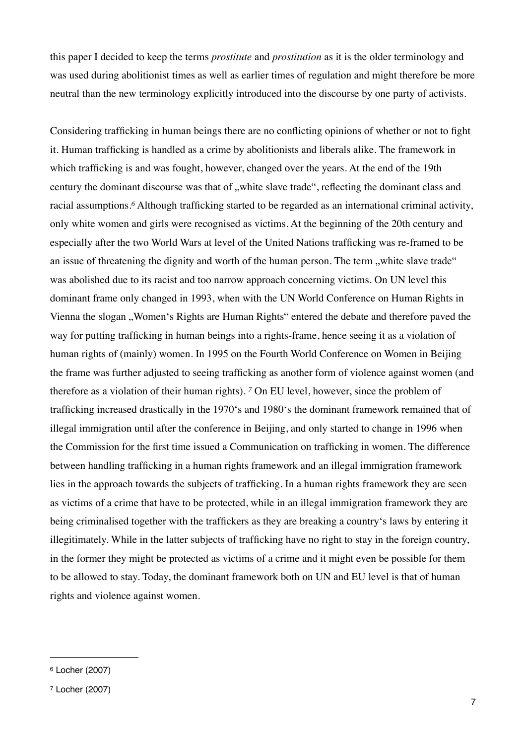this paper I decided to keep the terms *prostitute* and *prostitution* as it is the older terminology and was used during abolitionist times as well as earlier times of regulation and might therefore be more neutral than the new terminology explicitly introduced into the discourse by one party of activists.

Considering trafficking in human beings there are no conflicting opinions of whether or not to fight it. Human trafficking is handled as a crime by abolitionists and liberals alike. The framework in which trafficking is and was fought, however, changed over the years. At the end of the 19th century the dominant discourse was that of "white slave trade", reflecting the dominant class and racial assumptions.*[6](#page-6-0)* Although trafficking started to be regarded as an international criminal activity, only white women and girls were recognised as victims. At the beginning of the 20th century and especially after the two World Wars at level of the United Nations trafficking was re-framed to be an issue of threatening the dignity and worth of the human person. The term , white slave trade" was abolished due to its racist and too narrow approach concerning victims. On UN level this dominant frame only changed in 1993, when with the UN World Conference on Human Rights in Vienna the slogan ..Women's Rights are Human Rights" entered the debate and therefore paved the way for putting trafficking in human beings into a rights-frame, hence seeing it as a violation of human rights of (mainly) women. In 1995 on the Fourth World Conference on Women in Beijing the frame was further adjusted to seeing trafficking as another form of violence against women (and therefore as a violation of their human rights). *[7](#page-6-1)* On EU level, however, since the problem of trafficking increased drastically in the 1970's and 1980's the dominant framework remained that of illegal immigration until after the conference in Beijing, and only started to change in 1996 when the Commission for the first time issued a Communication on trafficking in women. The difference between handling trafficking in a human rights framework and an illegal immigration framework lies in the approach towards the subjects of trafficking. In a human rights framework they are seen as victims of a crime that have to be protected, while in an illegal immigration framework they are being criminalised together with the traffickers as they are breaking a country's laws by entering it illegitimately. While in the latter subjects of trafficking have no right to stay in the foreign country, in the former they might be protected as victims of a crime and it might even be possible for them to be allowed to stay. Today, the dominant framework both on UN and EU level is that of human rights and violence against women.

<span id="page-6-0"></span><sup>6</sup> Locher (2007)

<span id="page-6-1"></span><sup>7</sup> Locher (2007)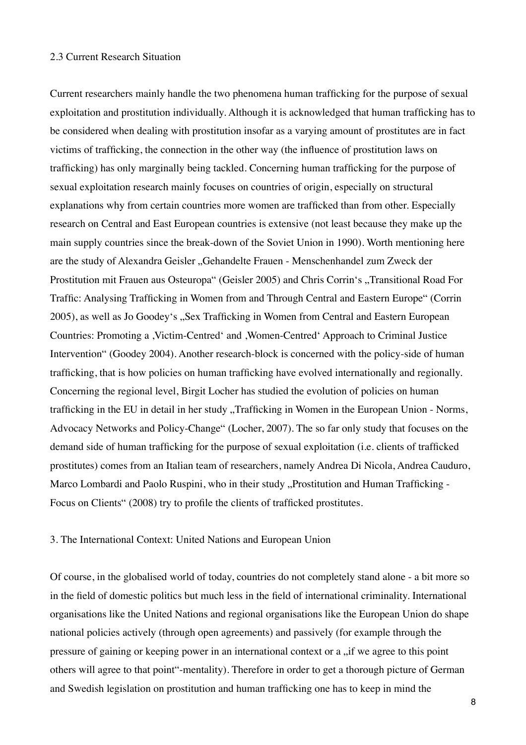#### 2.3 Current Research Situation

Current researchers mainly handle the two phenomena human trafficking for the purpose of sexual exploitation and prostitution individually. Although it is acknowledged that human trafficking has to be considered when dealing with prostitution insofar as a varying amount of prostitutes are in fact victims of trafficking, the connection in the other way (the influence of prostitution laws on trafficking) has only marginally being tackled. Concerning human trafficking for the purpose of sexual exploitation research mainly focuses on countries of origin, especially on structural explanations why from certain countries more women are trafficked than from other. Especially research on Central and East European countries is extensive (not least because they make up the main supply countries since the break-down of the Soviet Union in 1990). Worth mentioning here are the study of Alexandra Geisler "Gehandelte Frauen - Menschenhandel zum Zweck der Prostitution mit Frauen aus Osteuropa" (Geisler 2005) and Chris Corrin's "Transitional Road For Traffic: Analysing Trafficking in Women from and Through Central and Eastern Europe" (Corrin 2005), as well as Jo Goodey's "Sex Trafficking in Women from Central and Eastern European Countries: Promoting a ,Victim-Centred' and ,Women-Centred' Approach to Criminal Justice Intervention" (Goodey 2004). Another research-block is concerned with the policy-side of human trafficking, that is how policies on human trafficking have evolved internationally and regionally. Concerning the regional level, Birgit Locher has studied the evolution of policies on human trafficking in the EU in detail in her study , Trafficking in Women in the European Union - Norms, Advocacy Networks and Policy-Change" (Locher, 2007). The so far only study that focuses on the demand side of human trafficking for the purpose of sexual exploitation (i.e. clients of trafficked prostitutes) comes from an Italian team of researchers, namely Andrea Di Nicola, Andrea Cauduro, Marco Lombardi and Paolo Ruspini, who in their study "Prostitution and Human Trafficking -Focus on Clients" (2008) try to profile the clients of trafficked prostitutes.

## 3. The International Context: United Nations and European Union

Of course, in the globalised world of today, countries do not completely stand alone - a bit more so in the field of domestic politics but much less in the field of international criminality. International organisations like the United Nations and regional organisations like the European Union do shape national policies actively (through open agreements) and passively (for example through the pressure of gaining or keeping power in an international context or a , if we agree to this point others will agree to that point"-mentality). Therefore in order to get a thorough picture of German and Swedish legislation on prostitution and human trafficking one has to keep in mind the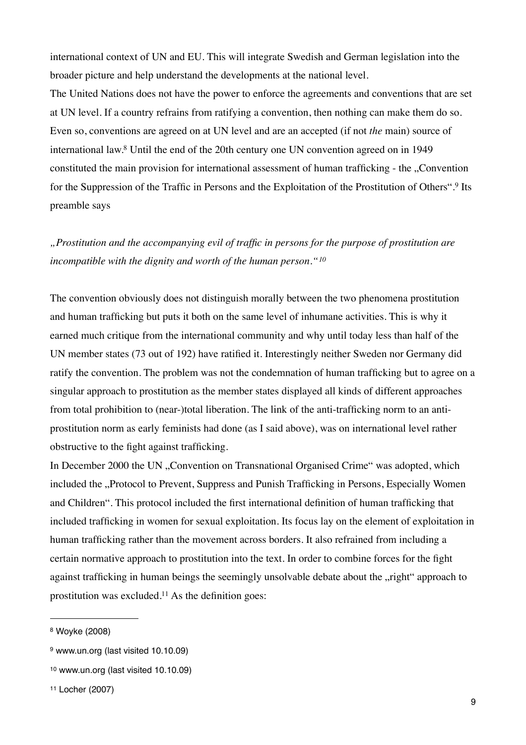international context of UN and EU. This will integrate Swedish and German legislation into the broader picture and help understand the developments at the national level.

The United Nations does not have the power to enforce the agreements and conventions that are set at UN level. If a country refrains from ratifying a convention, then nothing can make them do so. Even so, conventions are agreed on at UN level and are an accepted (if not *the* main) source of international law.[8](#page-8-0) Until the end of the 20th century one UN convention agreed on in 1949 constituted the main provision for international assessment of human trafficking - the "Convention for the Suppression of the Traffic in Persons and the Exploitation of the Prostitution of Others".[9](#page-8-1) Its preamble says

*"Prostitution and the accompanying evil of traffic in persons for the purpose of prostitution are incompatible with the dignity and worth of the human person."[10](#page-8-2)*

The convention obviously does not distinguish morally between the two phenomena prostitution and human trafficking but puts it both on the same level of inhumane activities. This is why it earned much critique from the international community and why until today less than half of the UN member states (73 out of 192) have ratified it. Interestingly neither Sweden nor Germany did ratify the convention. The problem was not the condemnation of human trafficking but to agree on a singular approach to prostitution as the member states displayed all kinds of different approaches from total prohibition to (near-)total liberation. The link of the anti-trafficking norm to an antiprostitution norm as early feminists had done (as I said above), was on international level rather obstructive to the fight against trafficking.

In December 2000 the UN "Convention on Transnational Organised Crime" was adopted, which included the "Protocol to Prevent, Suppress and Punish Trafficking in Persons, Especially Women and Children". This protocol included the first international definition of human trafficking that included trafficking in women for sexual exploitation. Its focus lay on the element of exploitation in human trafficking rather than the movement across borders. It also refrained from including a certain normative approach to prostitution into the text. In order to combine forces for the fight against trafficking in human beings the seemingly unsolvable debate about the "right" approach to prostitution was excluded[.11](#page-8-3) As the definition goes:

<span id="page-8-0"></span><sup>8</sup> Woyke (2008)

<span id="page-8-1"></span><sup>9</sup> www.un.org (last visited 10.10.09)

<span id="page-8-2"></span><sup>10</sup> www.un.org (last visited 10.10.09)

<span id="page-8-3"></span><sup>11</sup> Locher (2007)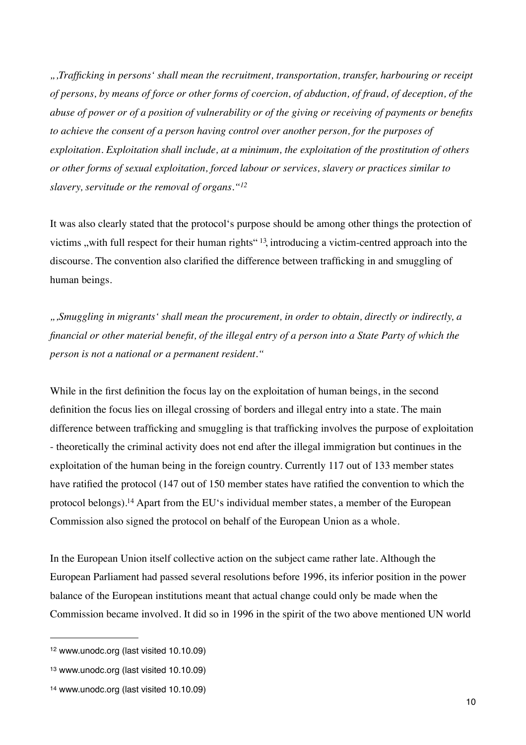*",Trafficking in persons' shall mean the recruitment, transportation, transfer, harbouring or receipt of persons, by means of force or other forms of coercion, of abduction, of fraud, of deception, of the abuse of power or of a position of vulnerability or of the giving or receiving of payments or benefits to achieve the consent of a person having control over another person, for the purposes of exploitation. Exploitation shall include, at a minimum, the exploitation of the prostitution of others or other forms of sexual exploitation, forced labour or services, slavery or practices similar to slavery, servitude or the removal of organs."[12](#page-9-0)*

It was also clearly stated that the protocol's purpose should be among other things the protection of victims , with full respect for their human rights"  $13$ , introducing a victim-centred approach into the discourse. The convention also clarified the difference between trafficking in and smuggling of human beings.

*",Smuggling in migrants' shall mean the procurement, in order to obtain, directly or indirectly, a financial or other material benefit, of the illegal entry of a person into a State Party of which the person is not a national or a permanent resident."*

While in the first definition the focus lay on the exploitation of human beings, in the second definition the focus lies on illegal crossing of borders and illegal entry into a state. The main difference between trafficking and smuggling is that trafficking involves the purpose of exploitation - theoretically the criminal activity does not end after the illegal immigration but continues in the exploitation of the human being in the foreign country. Currently 117 out of 133 member states have ratified the protocol (147 out of 150 member states have ratified the convention to which the protocol belongs)[.14](#page-9-2) Apart from the EU's individual member states, a member of the European Commission also signed the protocol on behalf of the European Union as a whole.

In the European Union itself collective action on the subject came rather late. Although the European Parliament had passed several resolutions before 1996, its inferior position in the power balance of the European institutions meant that actual change could only be made when the Commission became involved. It did so in 1996 in the spirit of the two above mentioned UN world

<span id="page-9-0"></span><sup>12</sup> www.unodc.org (last visited 10.10.09)

<span id="page-9-1"></span><sup>13</sup> www.unodc.org (last visited 10.10.09)

<span id="page-9-2"></span><sup>14</sup> www.unodc.org (last visited 10.10.09)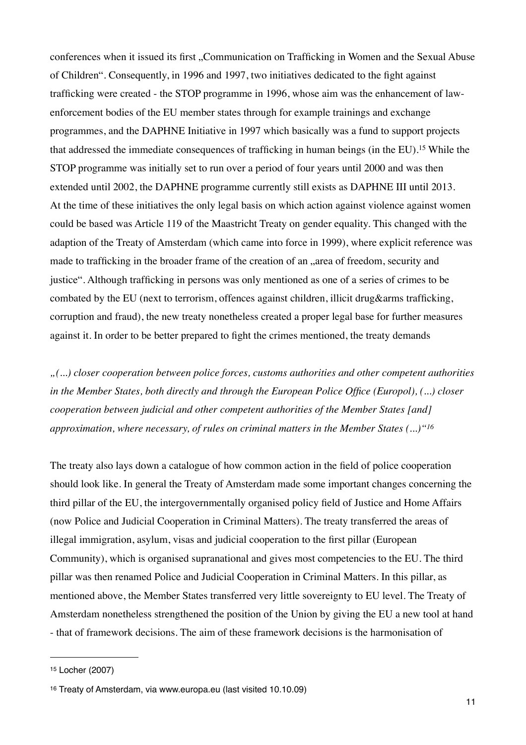conferences when it issued its first "Communication on Trafficking in Women and the Sexual Abuse of Children". Consequently, in 1996 and 1997, two initiatives dedicated to the fight against trafficking were created - the STOP programme in 1996, whose aim was the enhancement of lawenforcement bodies of the EU member states through for example trainings and exchange programmes, and the DAPHNE Initiative in 1997 which basically was a fund to support projects that addressed the immediate consequences of trafficking in human beings (in the EU).[15](#page-10-0) While the STOP programme was initially set to run over a period of four years until 2000 and was then extended until 2002, the DAPHNE programme currently still exists as DAPHNE III until 2013. At the time of these initiatives the only legal basis on which action against violence against women could be based was Article 119 of the Maastricht Treaty on gender equality. This changed with the adaption of the Treaty of Amsterdam (which came into force in 1999), where explicit reference was made to trafficking in the broader frame of the creation of an "area of freedom, security and justice". Although trafficking in persons was only mentioned as one of a series of crimes to be combated by the EU (next to terrorism, offences against children, illicit drug&arms trafficking, corruption and fraud), the new treaty nonetheless created a proper legal base for further measures against it. In order to be better prepared to fight the crimes mentioned, the treaty demands

*"(...) closer cooperation between police forces, customs authorities and other competent authorities in the Member States, both directly and through the European Police Office (Europol), (...) closer cooperation between judicial and other competent authorities of the Member States [and] approximation, where necessary, of rules on criminal matters in the Member States (...)"[16](#page-10-1)*

The treaty also lays down a catalogue of how common action in the field of police cooperation should look like. In general the Treaty of Amsterdam made some important changes concerning the third pillar of the EU, the intergovernmentally organised policy field of Justice and Home Affairs (now Police and Judicial Cooperation in Criminal Matters). The treaty transferred the areas of illegal immigration, asylum, visas and judicial cooperation to the first pillar (European Community), which is organised supranational and gives most competencies to the EU. The third pillar was then renamed Police and Judicial Cooperation in Criminal Matters. In this pillar, as mentioned above, the Member States transferred very little sovereignty to EU level. The Treaty of Amsterdam nonetheless strengthened the position of the Union by giving the EU a new tool at hand - that of framework decisions. The aim of these framework decisions is the harmonisation of

<span id="page-10-0"></span><sup>15</sup> Locher (2007)

<span id="page-10-1"></span><sup>16</sup> Treaty of Amsterdam, via www.europa.eu (last visited 10.10.09)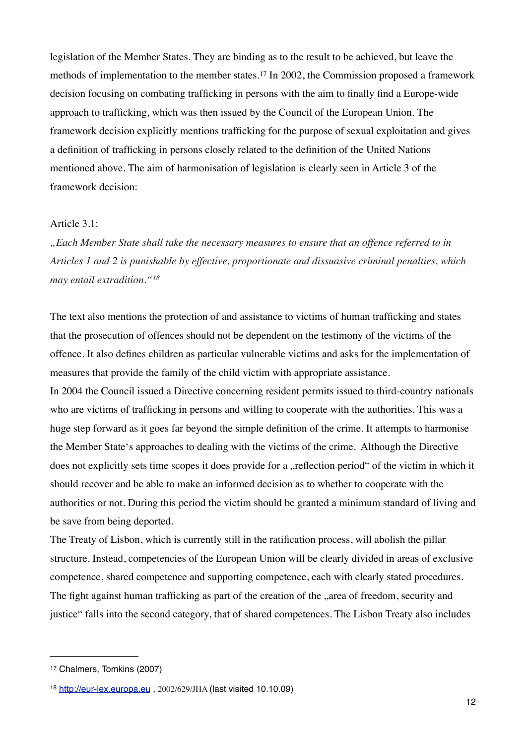legislation of the Member States. They are binding as to the result to be achieved, but leave the methods of implementation to the member states.[17](#page-11-0) In 2002, the Commission proposed a framework decision focusing on combating trafficking in persons with the aim to finally find a Europe-wide approach to trafficking, which was then issued by the Council of the European Union. The framework decision explicitly mentions trafficking for the purpose of sexual exploitation and gives a definition of trafficking in persons closely related to the definition of the United Nations mentioned above. The aim of harmonisation of legislation is clearly seen in Article 3 of the framework decision:

#### Article 3.1:

*"Each Member State shall take the necessary measures to ensure that an offence referred to in Articles 1 and 2 is punishable by effective, proportionate and dissuasive criminal penalties, which may entail extradition."[18](#page-11-1)*

The text also mentions the protection of and assistance to victims of human trafficking and states that the prosecution of offences should not be dependent on the testimony of the victims of the offence. It also defines children as particular vulnerable victims and asks for the implementation of measures that provide the family of the child victim with appropriate assistance. In 2004 the Council issued a Directive concerning resident permits issued to third-country nationals who are victims of trafficking in persons and willing to cooperate with the authorities. This was a huge step forward as it goes far beyond the simple definition of the crime. It attempts to harmonise the Member State's approaches to dealing with the victims of the crime. Although the Directive does not explicitly sets time scopes it does provide for a "reflection period" of the victim in which it should recover and be able to make an informed decision as to whether to cooperate with the authorities or not. During this period the victim should be granted a minimum standard of living and

be save from being deported.

The Treaty of Lisbon, which is currently still in the ratification process, will abolish the pillar structure. Instead, competencies of the European Union will be clearly divided in areas of exclusive competence, shared competence and supporting competence, each with clearly stated procedures. The fight against human trafficking as part of the creation of the "area of freedom, security and justice" falls into the second category, that of shared competences. The Lisbon Treaty also includes

<span id="page-11-0"></span><sup>17</sup> Chalmers, Tomkins (2007)

<span id="page-11-1"></span><sup>18</sup> <http://eur-lex.europa.eu> , 2002/629/JHA (last visited 10.10.09)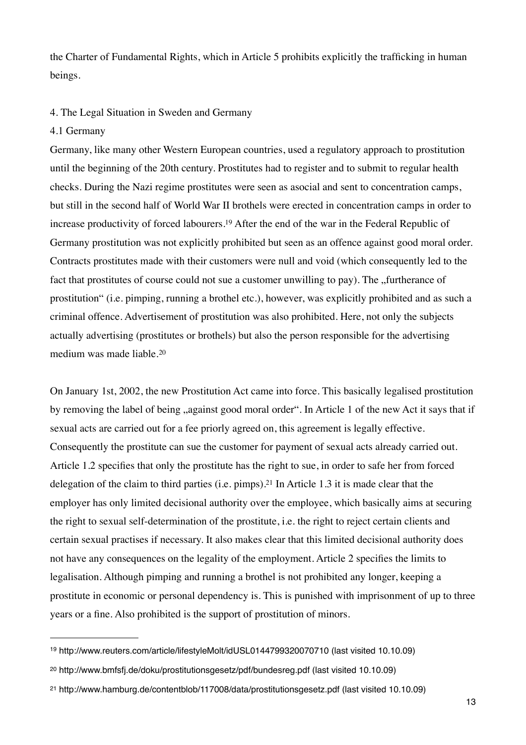the Charter of Fundamental Rights, which in Article 5 prohibits explicitly the trafficking in human beings.

## 4. The Legal Situation in Sweden and Germany

## 4.1 Germany

Germany, like many other Western European countries, used a regulatory approach to prostitution until the beginning of the 20th century. Prostitutes had to register and to submit to regular health checks. During the Nazi regime prostitutes were seen as asocial and sent to concentration camps, but still in the second half of World War II brothels were erected in concentration camps in order to increase productivity of forced labourers.[19](#page-12-0) After the end of the war in the Federal Republic of Germany prostitution was not explicitly prohibited but seen as an offence against good moral order. Contracts prostitutes made with their customers were null and void (which consequently led to the fact that prostitutes of course could not sue a customer unwilling to pay). The "furtherance of prostitution" (i.e. pimping, running a brothel etc.), however, was explicitly prohibited and as such a criminal offence. Advertisement of prostitution was also prohibited. Here, not only the subjects actually advertising (prostitutes or brothels) but also the person responsible for the advertising medium was made liable.[20](#page-12-1)

On January 1st, 2002, the new Prostitution Act came into force. This basically legalised prostitution by removing the label of being , against good moral order". In Article 1 of the new Act it says that if sexual acts are carried out for a fee priorly agreed on, this agreement is legally effective. Consequently the prostitute can sue the customer for payment of sexual acts already carried out. Article 1.2 specifies that only the prostitute has the right to sue, in order to safe her from forced delegation of the claim to third parties (i.e. pimps).[21](#page-12-2) In Article 1.3 it is made clear that the employer has only limited decisional authority over the employee, which basically aims at securing the right to sexual self-determination of the prostitute, i.e. the right to reject certain clients and certain sexual practises if necessary. It also makes clear that this limited decisional authority does not have any consequences on the legality of the employment. Article 2 specifies the limits to legalisation. Although pimping and running a brothel is not prohibited any longer, keeping a prostitute in economic or personal dependency is. This is punished with imprisonment of up to three years or a fine. Also prohibited is the support of prostitution of minors.

<span id="page-12-0"></span><sup>19</sup> http://www.reuters.com/article/lifestyleMolt/idUSL0144799320070710 (last visited 10.10.09)

<span id="page-12-1"></span><sup>20</sup> http://www.bmfsfj.de/doku/prostitutionsgesetz/pdf/bundesreg.pdf (last visited 10.10.09)

<span id="page-12-2"></span><sup>21</sup> http://www.hamburg.de/contentblob/117008/data/prostitutionsgesetz.pdf (last visited 10.10.09)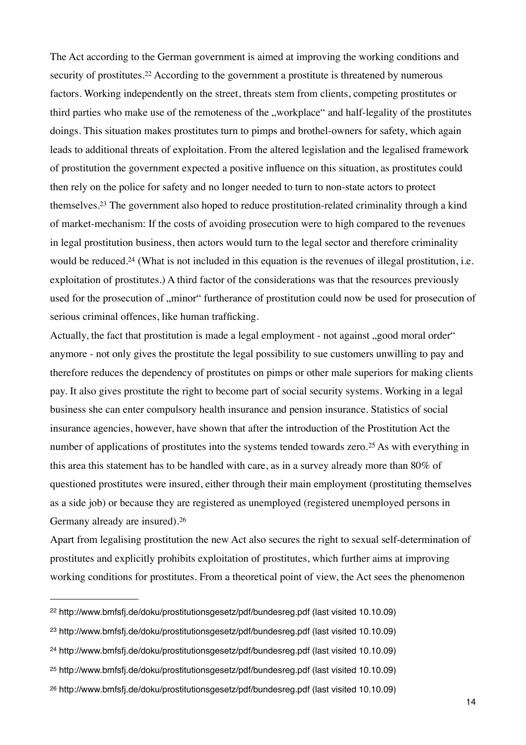The Act according to the German government is aimed at improving the working conditions and security of prostitutes.<sup>22</sup> According to the government a prostitute is threatened by numerous factors. Working independently on the street, threats stem from clients, competing prostitutes or third parties who make use of the remoteness of the "workplace" and half-legality of the prostitutes doings. This situation makes prostitutes turn to pimps and brothel-owners for safety, which again leads to additional threats of exploitation. From the altered legislation and the legalised framework of prostitution the government expected a positive influence on this situation, as prostitutes could then rely on the police for safety and no longer needed to turn to non-state actors to protect themselves[.23](#page-13-1) The government also hoped to reduce prostitution-related criminality through a kind of market-mechanism: If the costs of avoiding prosecution were to high compared to the revenues in legal prostitution business, then actors would turn to the legal sector and therefore criminality would be reduced.<sup>24</sup> (What is not included in this equation is the revenues of illegal prostitution, i.e. exploitation of prostitutes.) A third factor of the considerations was that the resources previously used for the prosecution of "minor" furtherance of prostitution could now be used for prosecution of serious criminal offences, like human trafficking.

Actually, the fact that prostitution is made a legal employment - not against "good moral order" anymore - not only gives the prostitute the legal possibility to sue customers unwilling to pay and therefore reduces the dependency of prostitutes on pimps or other male superiors for making clients pay. It also gives prostitute the right to become part of social security systems. Working in a legal business she can enter compulsory health insurance and pension insurance. Statistics of social insurance agencies, however, have shown that after the introduction of the Prostitution Act the number of applications of prostitutes into the systems tended towards zero.<sup>[25](#page-13-3)</sup> As with everything in this area this statement has to be handled with care, as in a survey already more than 80% of questioned prostitutes were insured, either through their main employment (prostituting themselves as a side job) or because they are registered as unemployed (registered unemployed persons in Germany already are insured).[26](#page-13-4)

Apart from legalising prostitution the new Act also secures the right to sexual self-determination of prostitutes and explicitly prohibits exploitation of prostitutes, which further aims at improving working conditions for prostitutes. From a theoretical point of view, the Act sees the phenomenon

<span id="page-13-0"></span><sup>22</sup> http://www.bmfsfj.de/doku/prostitutionsgesetz/pdf/bundesreg.pdf (last visited 10.10.09)

<span id="page-13-1"></span><sup>23</sup> http://www.bmfsfj.de/doku/prostitutionsgesetz/pdf/bundesreg.pdf (last visited 10.10.09)

<span id="page-13-2"></span><sup>24</sup> http://www.bmfsfj.de/doku/prostitutionsgesetz/pdf/bundesreg.pdf (last visited 10.10.09)

<span id="page-13-3"></span><sup>25</sup> http://www.bmfsfj.de/doku/prostitutionsgesetz/pdf/bundesreg.pdf (last visited 10.10.09)

<span id="page-13-4"></span><sup>26</sup> http://www.bmfsfj.de/doku/prostitutionsgesetz/pdf/bundesreg.pdf (last visited 10.10.09)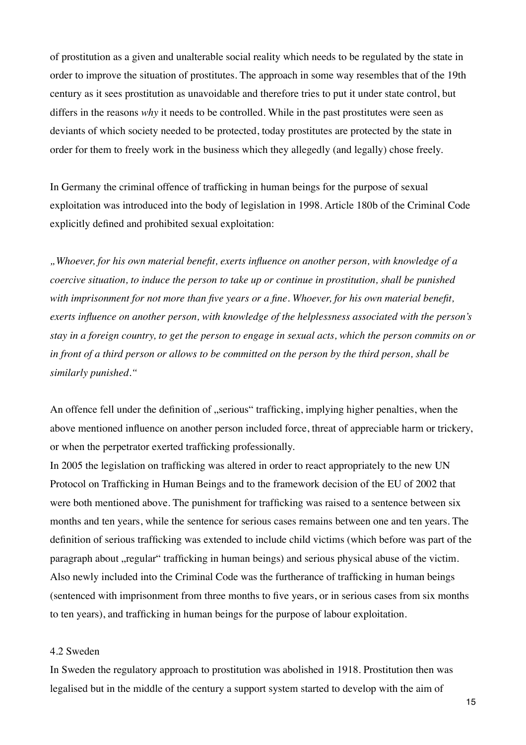of prostitution as a given and unalterable social reality which needs to be regulated by the state in order to improve the situation of prostitutes. The approach in some way resembles that of the 19th century as it sees prostitution as unavoidable and therefore tries to put it under state control, but differs in the reasons *why* it needs to be controlled. While in the past prostitutes were seen as deviants of which society needed to be protected, today prostitutes are protected by the state in order for them to freely work in the business which they allegedly (and legally) chose freely.

In Germany the criminal offence of trafficking in human beings for the purpose of sexual exploitation was introduced into the body of legislation in 1998. Article 180b of the Criminal Code explicitly defined and prohibited sexual exploitation:

*"Whoever, for his own material benefit, exerts influence on another person, with knowledge of a coercive situation, to induce the person to take up or continue in prostitution, shall be punished with imprisonment for not more than five years or a fine. Whoever, for his own material benefit, exerts influence on another person, with knowledge of the helplessness associated with the person's stay in a foreign country, to get the person to engage in sexual acts, which the person commits on or in front of a third person or allows to be committed on the person by the third person, shall be similarly punished."*

An offence fell under the definition of "serious" trafficking, implying higher penalties, when the above mentioned influence on another person included force, threat of appreciable harm or trickery, or when the perpetrator exerted trafficking professionally.

In 2005 the legislation on trafficking was altered in order to react appropriately to the new UN Protocol on Trafficking in Human Beings and to the framework decision of the EU of 2002 that were both mentioned above. The punishment for trafficking was raised to a sentence between six months and ten years, while the sentence for serious cases remains between one and ten years. The definition of serious trafficking was extended to include child victims (which before was part of the paragraph about "regular" trafficking in human beings) and serious physical abuse of the victim. Also newly included into the Criminal Code was the furtherance of trafficking in human beings (sentenced with imprisonment from three months to five years, or in serious cases from six months to ten years), and trafficking in human beings for the purpose of labour exploitation.

#### 4.2 Sweden

In Sweden the regulatory approach to prostitution was abolished in 1918. Prostitution then was legalised but in the middle of the century a support system started to develop with the aim of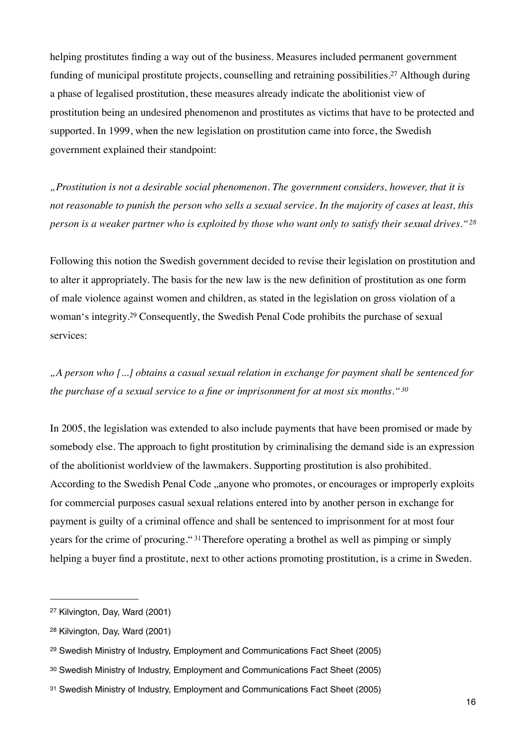helping prostitutes finding a way out of the business. Measures included permanent government funding of municipal prostitute projects, counselling and retraining possibilities.[27](#page-15-0) Although during a phase of legalised prostitution, these measures already indicate the abolitionist view of prostitution being an undesired phenomenon and prostitutes as victims that have to be protected and supported. In 1999, when the new legislation on prostitution came into force, the Swedish government explained their standpoint:

*"Prostitution is not a desirable social phenomenon. The government considers, however, that it is not reasonable to punish the person who sells a sexual service. In the majority of cases at least, this person is a weaker partner who is exploited by those who want only to satisfy their sexual drives."[28](#page-15-1)*

Following this notion the Swedish government decided to revise their legislation on prostitution and to alter it appropriately. The basis for the new law is the new definition of prostitution as one form of male violence against women and children, as stated in the legislation on gross violation of a woman's integrity.[29](#page-15-2) Consequently, the Swedish Penal Code prohibits the purchase of sexual services:

*"A person who [...] obtains a casual sexual relation in exchange for payment shall be sentenced for the purchase of a sexual service to a fine or imprisonment for at most six months."[30](#page-15-3)*

In 2005, the legislation was extended to also include payments that have been promised or made by somebody else. The approach to fight prostitution by criminalising the demand side is an expression of the abolitionist worldview of the lawmakers. Supporting prostitution is also prohibited. According to the Swedish Penal Code , anyone who promotes, or encourages or improperly exploits for commercial purposes casual sexual relations entered into by another person in exchange for payment is guilty of a criminal offence and shall be sentenced to imprisonment for at most four years for the crime of procuring." [31](#page-15-4) Therefore operating a brothel as well as pimping or simply helping a buyer find a prostitute, next to other actions promoting prostitution, is a crime in Sweden.

<span id="page-15-0"></span><sup>27</sup> Kilvington, Day, Ward (2001)

<span id="page-15-1"></span><sup>28</sup> Kilvington, Day, Ward (2001)

<span id="page-15-2"></span><sup>29</sup> Swedish Ministry of Industry, Employment and Communications Fact Sheet (2005)

<span id="page-15-3"></span><sup>30</sup> Swedish Ministry of Industry, Employment and Communications Fact Sheet (2005)

<span id="page-15-4"></span><sup>31</sup> Swedish Ministry of Industry, Employment and Communications Fact Sheet (2005)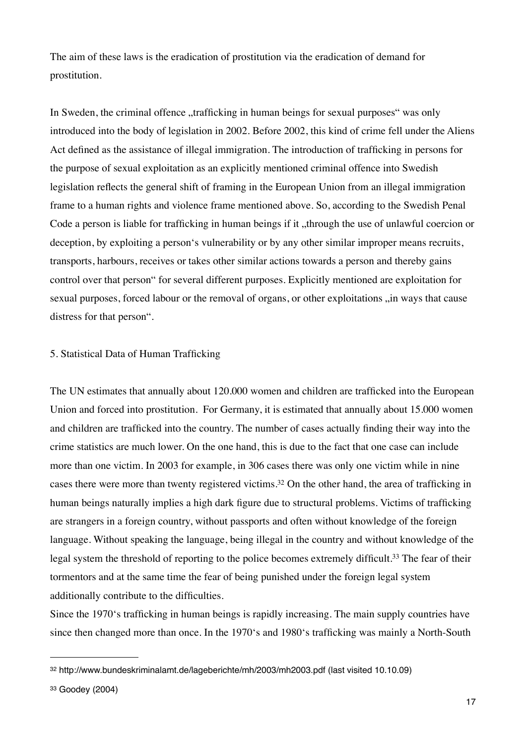The aim of these laws is the eradication of prostitution via the eradication of demand for prostitution.

In Sweden, the criminal offence "trafficking in human beings for sexual purposes" was only introduced into the body of legislation in 2002. Before 2002, this kind of crime fell under the Aliens Act defined as the assistance of illegal immigration. The introduction of trafficking in persons for the purpose of sexual exploitation as an explicitly mentioned criminal offence into Swedish legislation reflects the general shift of framing in the European Union from an illegal immigration frame to a human rights and violence frame mentioned above. So, according to the Swedish Penal Code a person is liable for trafficking in human beings if it, through the use of unlawful coercion or deception, by exploiting a person's vulnerability or by any other similar improper means recruits, transports, harbours, receives or takes other similar actions towards a person and thereby gains control over that person" for several different purposes. Explicitly mentioned are exploitation for sexual purposes, forced labour or the removal of organs, or other exploitations , in ways that cause distress for that person".

## 5. Statistical Data of Human Trafficking

The UN estimates that annually about 120.000 women and children are trafficked into the European Union and forced into prostitution. For Germany, it is estimated that annually about 15.000 women and children are trafficked into the country. The number of cases actually finding their way into the crime statistics are much lower. On the one hand, this is due to the fact that one case can include more than one victim. In 2003 for example, in 306 cases there was only one victim while in nine cases there were more than twenty registered victims.[32](#page-16-0) On the other hand, the area of trafficking in human beings naturally implies a high dark figure due to structural problems. Victims of trafficking are strangers in a foreign country, without passports and often without knowledge of the foreign language. Without speaking the language, being illegal in the country and without knowledge of the legal system the threshold of reporting to the police becomes extremely difficult.[33](#page-16-1) The fear of their tormentors and at the same time the fear of being punished under the foreign legal system additionally contribute to the difficulties.

Since the 1970's trafficking in human beings is rapidly increasing. The main supply countries have since then changed more than once. In the 1970's and 1980's trafficking was mainly a North-South

<span id="page-16-0"></span><sup>32</sup> http://www.bundeskriminalamt.de/lageberichte/mh/2003/mh2003.pdf (last visited 10.10.09)

<span id="page-16-1"></span><sup>33</sup> Goodey (2004)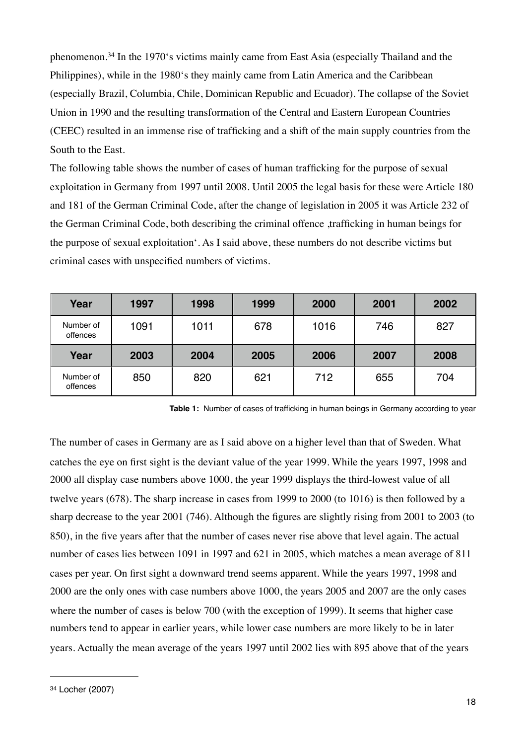phenomenon.[34](#page-17-0) In the 1970's victims mainly came from East Asia (especially Thailand and the Philippines), while in the 1980's they mainly came from Latin America and the Caribbean (especially Brazil, Columbia, Chile, Dominican Republic and Ecuador). The collapse of the Soviet Union in 1990 and the resulting transformation of the Central and Eastern European Countries (CEEC) resulted in an immense rise of trafficking and a shift of the main supply countries from the South to the East.

The following table shows the number of cases of human trafficking for the purpose of sexual exploitation in Germany from 1997 until 2008. Until 2005 the legal basis for these were Article 180 and 181 of the German Criminal Code, after the change of legislation in 2005 it was Article 232 of the German Criminal Code, both describing the criminal offence ,trafficking in human beings for the purpose of sexual exploitation'. As I said above, these numbers do not describe victims but criminal cases with unspecified numbers of victims.

| Year                  | 1997 | 1998 | 1999 | 2000 | 2001 | 2002 |
|-----------------------|------|------|------|------|------|------|
| Number of<br>offences | 1091 | 1011 | 678  | 1016 | 746  | 827  |
| Year                  | 2003 | 2004 | 2005 | 2006 | 2007 | 2008 |
| Number of             |      |      |      |      |      |      |

**Table 1:** Number of cases of trafficking in human beings in Germany according to year

The number of cases in Germany are as I said above on a higher level than that of Sweden. What catches the eye on first sight is the deviant value of the year 1999. While the years 1997, 1998 and 2000 all display case numbers above 1000, the year 1999 displays the third-lowest value of all twelve years (678). The sharp increase in cases from 1999 to 2000 (to 1016) is then followed by a sharp decrease to the year 2001 (746). Although the figures are slightly rising from 2001 to 2003 (to 850), in the five years after that the number of cases never rise above that level again. The actual number of cases lies between 1091 in 1997 and 621 in 2005, which matches a mean average of 811 cases per year. On first sight a downward trend seems apparent. While the years 1997, 1998 and 2000 are the only ones with case numbers above 1000, the years 2005 and 2007 are the only cases where the number of cases is below 700 (with the exception of 1999). It seems that higher case numbers tend to appear in earlier years, while lower case numbers are more likely to be in later years. Actually the mean average of the years 1997 until 2002 lies with 895 above that of the years

<span id="page-17-0"></span><sup>34</sup> Locher (2007)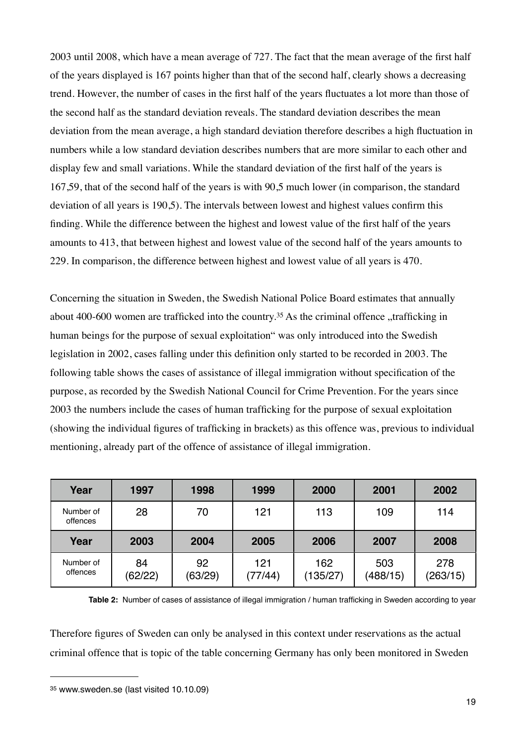2003 until 2008, which have a mean average of 727. The fact that the mean average of the first half of the years displayed is 167 points higher than that of the second half, clearly shows a decreasing trend. However, the number of cases in the first half of the years fluctuates a lot more than those of the second half as the standard deviation reveals. The standard deviation describes the mean deviation from the mean average, a high standard deviation therefore describes a high fluctuation in numbers while a low standard deviation describes numbers that are more similar to each other and display few and small variations. While the standard deviation of the first half of the years is 167,59, that of the second half of the years is with 90,5 much lower (in comparison, the standard deviation of all years is 190,5). The intervals between lowest and highest values confirm this finding. While the difference between the highest and lowest value of the first half of the years amounts to 413, that between highest and lowest value of the second half of the years amounts to 229. In comparison, the difference between highest and lowest value of all years is 470.

Concerning the situation in Sweden, the Swedish National Police Board estimates that annually about 400-600 women are trafficked into the country.<sup>35</sup> As the criminal offence  $\alpha$ , trafficking in human beings for the purpose of sexual exploitation" was only introduced into the Swedish legislation in 2002, cases falling under this definition only started to be recorded in 2003. The following table shows the cases of assistance of illegal immigration without specification of the purpose, as recorded by the Swedish National Council for Crime Prevention. For the years since 2003 the numbers include the cases of human trafficking for the purpose of sexual exploitation (showing the individual figures of trafficking in brackets) as this offence was, previous to individual mentioning, already part of the offence of assistance of illegal immigration.

| Year                  | 1997 | 1998 | 1999 | 2000 | 2001 | 2002 |
|-----------------------|------|------|------|------|------|------|
| Number of<br>offences | 28   | 70   | 121  | 113  | 109  | 114  |
| Year                  | 2003 | 2004 | 2005 | 2006 | 2007 | 2008 |
|                       |      |      |      |      |      |      |

**Table 2:** Number of cases of assistance of illegal immigration / human trafficking in Sweden according to year

Therefore figures of Sweden can only be analysed in this context under reservations as the actual criminal offence that is topic of the table concerning Germany has only been monitored in Sweden

<span id="page-18-0"></span><sup>35</sup> www.sweden.se (last visited 10.10.09)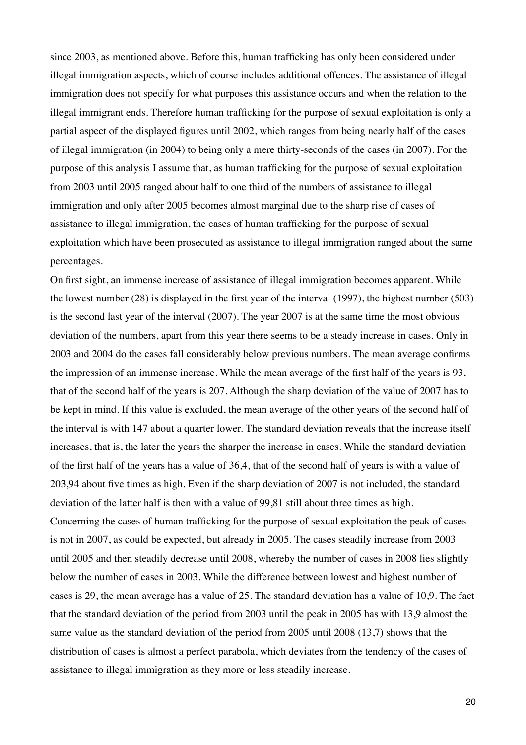since 2003, as mentioned above. Before this, human trafficking has only been considered under illegal immigration aspects, which of course includes additional offences. The assistance of illegal immigration does not specify for what purposes this assistance occurs and when the relation to the illegal immigrant ends. Therefore human trafficking for the purpose of sexual exploitation is only a partial aspect of the displayed figures until 2002, which ranges from being nearly half of the cases of illegal immigration (in 2004) to being only a mere thirty-seconds of the cases (in 2007). For the purpose of this analysis I assume that, as human trafficking for the purpose of sexual exploitation from 2003 until 2005 ranged about half to one third of the numbers of assistance to illegal immigration and only after 2005 becomes almost marginal due to the sharp rise of cases of assistance to illegal immigration, the cases of human trafficking for the purpose of sexual exploitation which have been prosecuted as assistance to illegal immigration ranged about the same percentages.

On first sight, an immense increase of assistance of illegal immigration becomes apparent. While the lowest number (28) is displayed in the first year of the interval (1997), the highest number (503) is the second last year of the interval (2007). The year 2007 is at the same time the most obvious deviation of the numbers, apart from this year there seems to be a steady increase in cases. Only in 2003 and 2004 do the cases fall considerably below previous numbers. The mean average confirms the impression of an immense increase. While the mean average of the first half of the years is 93, that of the second half of the years is 207. Although the sharp deviation of the value of 2007 has to be kept in mind. If this value is excluded, the mean average of the other years of the second half of the interval is with 147 about a quarter lower. The standard deviation reveals that the increase itself increases, that is, the later the years the sharper the increase in cases. While the standard deviation of the first half of the years has a value of 36,4, that of the second half of years is with a value of 203,94 about five times as high. Even if the sharp deviation of 2007 is not included, the standard deviation of the latter half is then with a value of 99,81 still about three times as high. Concerning the cases of human trafficking for the purpose of sexual exploitation the peak of cases is not in 2007, as could be expected, but already in 2005. The cases steadily increase from 2003 until 2005 and then steadily decrease until 2008, whereby the number of cases in 2008 lies slightly below the number of cases in 2003. While the difference between lowest and highest number of cases is 29, the mean average has a value of 25. The standard deviation has a value of 10,9. The fact that the standard deviation of the period from 2003 until the peak in 2005 has with 13,9 almost the same value as the standard deviation of the period from 2005 until 2008 (13,7) shows that the distribution of cases is almost a perfect parabola, which deviates from the tendency of the cases of assistance to illegal immigration as they more or less steadily increase.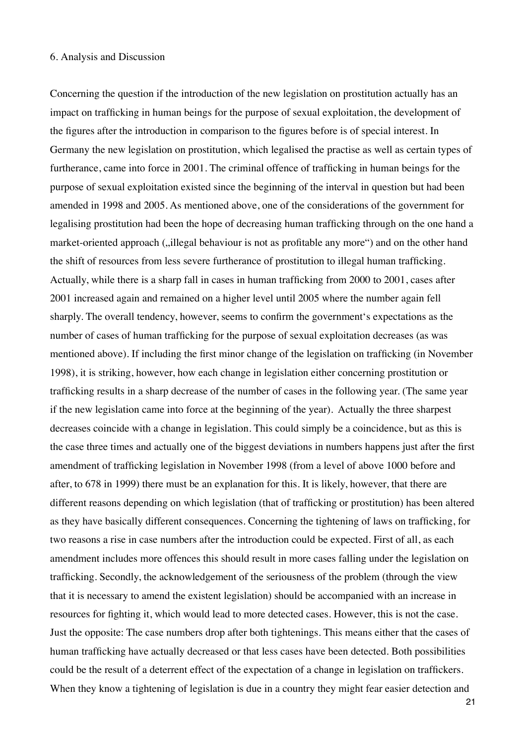#### 6. Analysis and Discussion

Concerning the question if the introduction of the new legislation on prostitution actually has an impact on trafficking in human beings for the purpose of sexual exploitation, the development of the figures after the introduction in comparison to the figures before is of special interest. In Germany the new legislation on prostitution, which legalised the practise as well as certain types of furtherance, came into force in 2001. The criminal offence of trafficking in human beings for the purpose of sexual exploitation existed since the beginning of the interval in question but had been amended in 1998 and 2005. As mentioned above, one of the considerations of the government for legalising prostitution had been the hope of decreasing human trafficking through on the one hand a market-oriented approach ("illegal behaviour is not as profitable any more") and on the other hand the shift of resources from less severe furtherance of prostitution to illegal human trafficking. Actually, while there is a sharp fall in cases in human trafficking from 2000 to 2001, cases after 2001 increased again and remained on a higher level until 2005 where the number again fell sharply. The overall tendency, however, seems to confirm the government's expectations as the number of cases of human trafficking for the purpose of sexual exploitation decreases (as was mentioned above). If including the first minor change of the legislation on trafficking (in November 1998), it is striking, however, how each change in legislation either concerning prostitution or trafficking results in a sharp decrease of the number of cases in the following year. (The same year if the new legislation came into force at the beginning of the year). Actually the three sharpest decreases coincide with a change in legislation. This could simply be a coincidence, but as this is the case three times and actually one of the biggest deviations in numbers happens just after the first amendment of trafficking legislation in November 1998 (from a level of above 1000 before and after, to 678 in 1999) there must be an explanation for this. It is likely, however, that there are different reasons depending on which legislation (that of trafficking or prostitution) has been altered as they have basically different consequences. Concerning the tightening of laws on trafficking, for two reasons a rise in case numbers after the introduction could be expected. First of all, as each amendment includes more offences this should result in more cases falling under the legislation on trafficking. Secondly, the acknowledgement of the seriousness of the problem (through the view that it is necessary to amend the existent legislation) should be accompanied with an increase in resources for fighting it, which would lead to more detected cases. However, this is not the case. Just the opposite: The case numbers drop after both tightenings. This means either that the cases of human trafficking have actually decreased or that less cases have been detected. Both possibilities could be the result of a deterrent effect of the expectation of a change in legislation on traffickers. When they know a tightening of legislation is due in a country they might fear easier detection and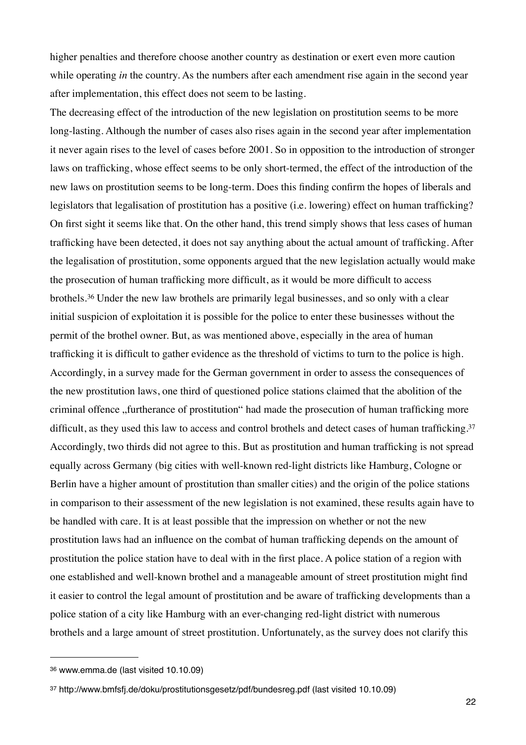higher penalties and therefore choose another country as destination or exert even more caution while operating *in* the country. As the numbers after each amendment rise again in the second year after implementation, this effect does not seem to be lasting.

The decreasing effect of the introduction of the new legislation on prostitution seems to be more long-lasting. Although the number of cases also rises again in the second year after implementation it never again rises to the level of cases before 2001. So in opposition to the introduction of stronger laws on trafficking, whose effect seems to be only short-termed, the effect of the introduction of the new laws on prostitution seems to be long-term. Does this finding confirm the hopes of liberals and legislators that legalisation of prostitution has a positive (i.e. lowering) effect on human trafficking? On first sight it seems like that. On the other hand, this trend simply shows that less cases of human trafficking have been detected, it does not say anything about the actual amount of trafficking. After the legalisation of prostitution, some opponents argued that the new legislation actually would make the prosecution of human trafficking more difficult, as it would be more difficult to access brothels.[36](#page-21-0) Under the new law brothels are primarily legal businesses, and so only with a clear initial suspicion of exploitation it is possible for the police to enter these businesses without the permit of the brothel owner. But, as was mentioned above, especially in the area of human trafficking it is difficult to gather evidence as the threshold of victims to turn to the police is high. Accordingly, in a survey made for the German government in order to assess the consequences of the new prostitution laws, one third of questioned police stations claimed that the abolition of the criminal offence "furtherance of prostitution" had made the prosecution of human trafficking more difficult, as they used this law to access and control brothels and detect cases of human trafficking.<sup>[37](#page-21-1)</sup> Accordingly, two thirds did not agree to this. But as prostitution and human trafficking is not spread equally across Germany (big cities with well-known red-light districts like Hamburg, Cologne or Berlin have a higher amount of prostitution than smaller cities) and the origin of the police stations in comparison to their assessment of the new legislation is not examined, these results again have to be handled with care. It is at least possible that the impression on whether or not the new prostitution laws had an influence on the combat of human trafficking depends on the amount of prostitution the police station have to deal with in the first place. A police station of a region with one established and well-known brothel and a manageable amount of street prostitution might find it easier to control the legal amount of prostitution and be aware of trafficking developments than a police station of a city like Hamburg with an ever-changing red-light district with numerous brothels and a large amount of street prostitution. Unfortunately, as the survey does not clarify this

<span id="page-21-0"></span><sup>36</sup> www.emma.de (last visited 10.10.09)

<span id="page-21-1"></span><sup>37</sup> http://www.bmfsfj.de/doku/prostitutionsgesetz/pdf/bundesreg.pdf (last visited 10.10.09)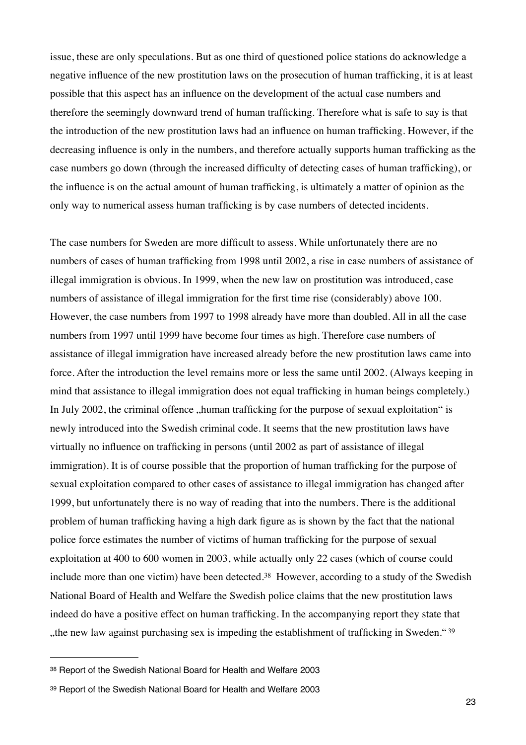issue, these are only speculations. But as one third of questioned police stations do acknowledge a negative influence of the new prostitution laws on the prosecution of human trafficking, it is at least possible that this aspect has an influence on the development of the actual case numbers and therefore the seemingly downward trend of human trafficking. Therefore what is safe to say is that the introduction of the new prostitution laws had an influence on human trafficking. However, if the decreasing influence is only in the numbers, and therefore actually supports human trafficking as the case numbers go down (through the increased difficulty of detecting cases of human trafficking), or the influence is on the actual amount of human trafficking, is ultimately a matter of opinion as the only way to numerical assess human trafficking is by case numbers of detected incidents.

The case numbers for Sweden are more difficult to assess. While unfortunately there are no numbers of cases of human trafficking from 1998 until 2002, a rise in case numbers of assistance of illegal immigration is obvious. In 1999, when the new law on prostitution was introduced, case numbers of assistance of illegal immigration for the first time rise (considerably) above 100. However, the case numbers from 1997 to 1998 already have more than doubled. All in all the case numbers from 1997 until 1999 have become four times as high. Therefore case numbers of assistance of illegal immigration have increased already before the new prostitution laws came into force. After the introduction the level remains more or less the same until 2002. (Always keeping in mind that assistance to illegal immigration does not equal trafficking in human beings completely.) In July 2002, the criminal offence "human trafficking for the purpose of sexual exploitation" is newly introduced into the Swedish criminal code. It seems that the new prostitution laws have virtually no influence on trafficking in persons (until 2002 as part of assistance of illegal immigration). It is of course possible that the proportion of human trafficking for the purpose of sexual exploitation compared to other cases of assistance to illegal immigration has changed after 1999, but unfortunately there is no way of reading that into the numbers. There is the additional problem of human trafficking having a high dark figure as is shown by the fact that the national police force estimates the number of victims of human trafficking for the purpose of sexual exploitation at 400 to 600 women in 2003, while actually only 22 cases (which of course could include more than one victim) have been detected.<sup>38</sup> However, according to a study of the Swedish National Board of Health and Welfare the Swedish police claims that the new prostitution laws indeed do have a positive effect on human trafficking. In the accompanying report they state that ", the new law against purchasing sex is impeding the establishment of trafficking in Sweden."<sup>[39](#page-22-1)</sup>

<span id="page-22-0"></span><sup>38</sup> Report of the Swedish National Board for Health and Welfare 2003

<span id="page-22-1"></span><sup>39</sup> Report of the Swedish National Board for Health and Welfare 2003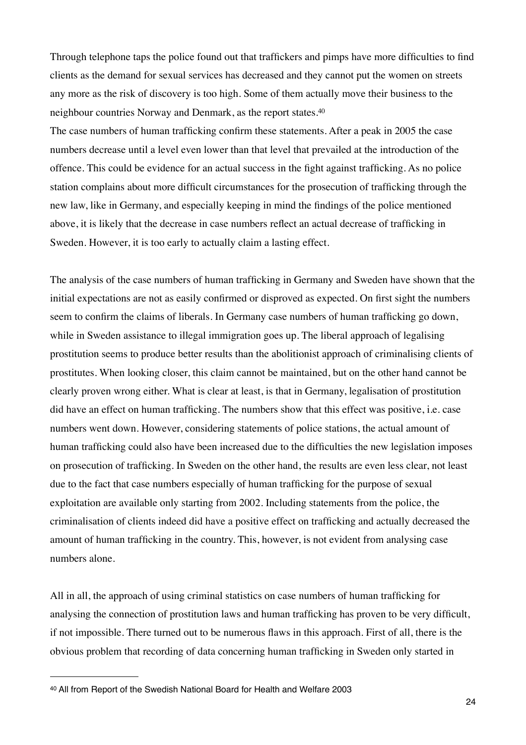Through telephone taps the police found out that traffickers and pimps have more difficulties to find clients as the demand for sexual services has decreased and they cannot put the women on streets any more as the risk of discovery is too high. Some of them actually move their business to the neighbour countries Norway and Denmark, as the report states.[40](#page-23-0)

The case numbers of human trafficking confirm these statements. After a peak in 2005 the case numbers decrease until a level even lower than that level that prevailed at the introduction of the offence. This could be evidence for an actual success in the fight against trafficking. As no police station complains about more difficult circumstances for the prosecution of trafficking through the new law, like in Germany, and especially keeping in mind the findings of the police mentioned above, it is likely that the decrease in case numbers reflect an actual decrease of trafficking in Sweden. However, it is too early to actually claim a lasting effect.

The analysis of the case numbers of human trafficking in Germany and Sweden have shown that the initial expectations are not as easily confirmed or disproved as expected. On first sight the numbers seem to confirm the claims of liberals. In Germany case numbers of human trafficking go down, while in Sweden assistance to illegal immigration goes up. The liberal approach of legalising prostitution seems to produce better results than the abolitionist approach of criminalising clients of prostitutes. When looking closer, this claim cannot be maintained, but on the other hand cannot be clearly proven wrong either. What is clear at least, is that in Germany, legalisation of prostitution did have an effect on human trafficking. The numbers show that this effect was positive, i.e. case numbers went down. However, considering statements of police stations, the actual amount of human trafficking could also have been increased due to the difficulties the new legislation imposes on prosecution of trafficking. In Sweden on the other hand, the results are even less clear, not least due to the fact that case numbers especially of human trafficking for the purpose of sexual exploitation are available only starting from 2002. Including statements from the police, the criminalisation of clients indeed did have a positive effect on trafficking and actually decreased the amount of human trafficking in the country. This, however, is not evident from analysing case numbers alone.

All in all, the approach of using criminal statistics on case numbers of human trafficking for analysing the connection of prostitution laws and human trafficking has proven to be very difficult, if not impossible. There turned out to be numerous flaws in this approach. First of all, there is the obvious problem that recording of data concerning human trafficking in Sweden only started in

<span id="page-23-0"></span>40 All from Report of the Swedish National Board for Health and Welfare 2003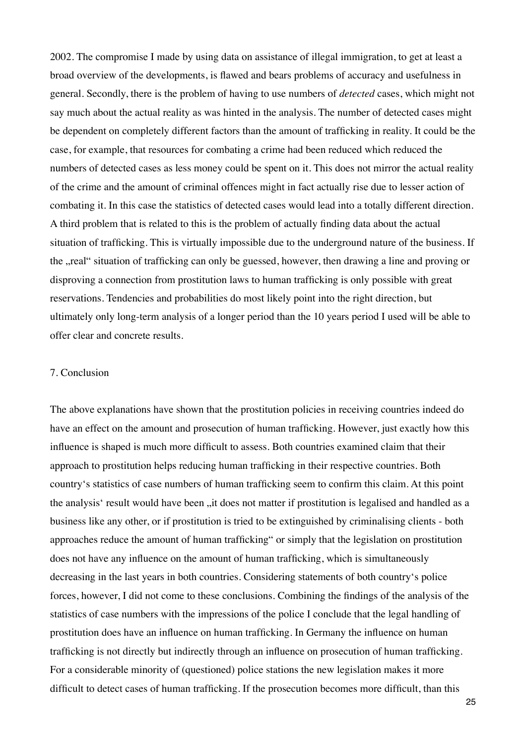2002. The compromise I made by using data on assistance of illegal immigration, to get at least a broad overview of the developments, is flawed and bears problems of accuracy and usefulness in general. Secondly, there is the problem of having to use numbers of *detected* cases, which might not say much about the actual reality as was hinted in the analysis. The number of detected cases might be dependent on completely different factors than the amount of trafficking in reality. It could be the case, for example, that resources for combating a crime had been reduced which reduced the numbers of detected cases as less money could be spent on it. This does not mirror the actual reality of the crime and the amount of criminal offences might in fact actually rise due to lesser action of combating it. In this case the statistics of detected cases would lead into a totally different direction. A third problem that is related to this is the problem of actually finding data about the actual situation of trafficking. This is virtually impossible due to the underground nature of the business. If the "real" situation of trafficking can only be guessed, however, then drawing a line and proving or disproving a connection from prostitution laws to human trafficking is only possible with great reservations. Tendencies and probabilities do most likely point into the right direction, but ultimately only long-term analysis of a longer period than the 10 years period I used will be able to offer clear and concrete results.

## 7. Conclusion

The above explanations have shown that the prostitution policies in receiving countries indeed do have an effect on the amount and prosecution of human trafficking. However, just exactly how this influence is shaped is much more difficult to assess. Both countries examined claim that their approach to prostitution helps reducing human trafficking in their respective countries. Both country's statistics of case numbers of human trafficking seem to confirm this claim. At this point the analysis' result would have been , it does not matter if prostitution is legalised and handled as a business like any other, or if prostitution is tried to be extinguished by criminalising clients - both approaches reduce the amount of human trafficking" or simply that the legislation on prostitution does not have any influence on the amount of human trafficking, which is simultaneously decreasing in the last years in both countries. Considering statements of both country's police forces, however, I did not come to these conclusions. Combining the findings of the analysis of the statistics of case numbers with the impressions of the police I conclude that the legal handling of prostitution does have an influence on human trafficking. In Germany the influence on human trafficking is not directly but indirectly through an influence on prosecution of human trafficking. For a considerable minority of (questioned) police stations the new legislation makes it more difficult to detect cases of human trafficking. If the prosecution becomes more difficult, than this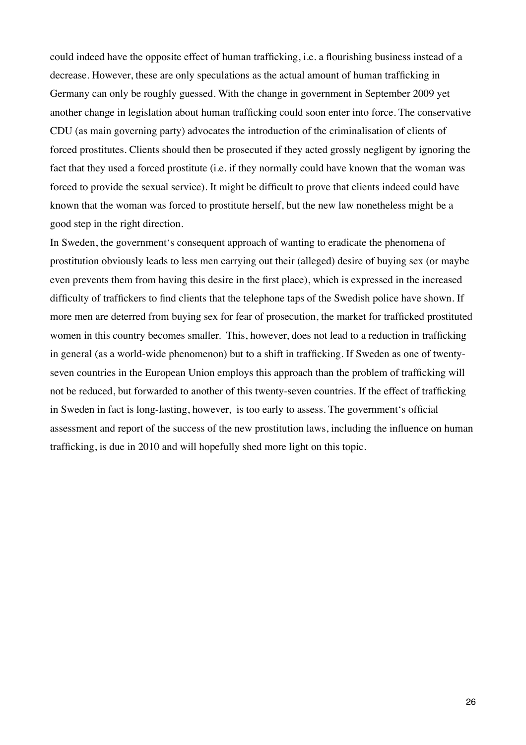could indeed have the opposite effect of human trafficking, i.e. a flourishing business instead of a decrease. However, these are only speculations as the actual amount of human trafficking in Germany can only be roughly guessed. With the change in government in September 2009 yet another change in legislation about human trafficking could soon enter into force. The conservative CDU (as main governing party) advocates the introduction of the criminalisation of clients of forced prostitutes. Clients should then be prosecuted if they acted grossly negligent by ignoring the fact that they used a forced prostitute (i.e. if they normally could have known that the woman was forced to provide the sexual service). It might be difficult to prove that clients indeed could have known that the woman was forced to prostitute herself, but the new law nonetheless might be a good step in the right direction.

In Sweden, the government's consequent approach of wanting to eradicate the phenomena of prostitution obviously leads to less men carrying out their (alleged) desire of buying sex (or maybe even prevents them from having this desire in the first place), which is expressed in the increased difficulty of traffickers to find clients that the telephone taps of the Swedish police have shown. If more men are deterred from buying sex for fear of prosecution, the market for trafficked prostituted women in this country becomes smaller. This, however, does not lead to a reduction in trafficking in general (as a world-wide phenomenon) but to a shift in trafficking. If Sweden as one of twentyseven countries in the European Union employs this approach than the problem of trafficking will not be reduced, but forwarded to another of this twenty-seven countries. If the effect of trafficking in Sweden in fact is long-lasting, however, is too early to assess. The government's official assessment and report of the success of the new prostitution laws, including the influence on human trafficking, is due in 2010 and will hopefully shed more light on this topic.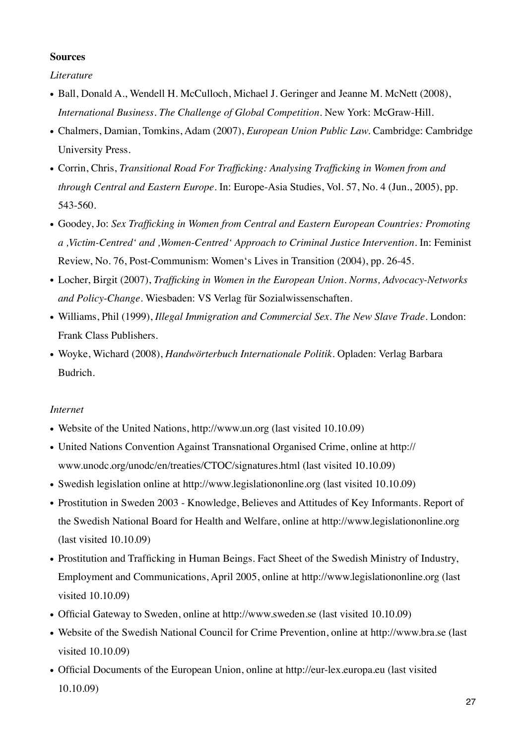## **Sources**

*Literature*

- Ball, Donald A., Wendell H. McCulloch, Michael J. Geringer and Jeanne M. McNett (2008), *International Business. The Challenge of Global Competition.* New York: McGraw-Hill.
- Chalmers, Damian, Tomkins, Adam (2007), *European Union Public Law.* Cambridge: Cambridge University Press.
- Corrin, Chris, *Transitional Road For Trafficking: Analysing Trafficking in Women from and through Central and Eastern Europe.* In: Europe-Asia Studies, Vol. 57, No. 4 (Jun., 2005), pp. 543-560.
- Goodey, Jo: *Sex Trafficking in Women from Central and Eastern European Countries: Promoting a ,Victim-Centred' and ,Women-Centred' Approach to Criminal Justice Intervention.* In: Feminist Review, No. 76, Post-Communism: Women's Lives in Transition (2004), pp. 26-45.
- Locher, Birgit (2007), *Trafficking in Women in the European Union. Norms, Advocacy-Networks and Policy-Change.* Wiesbaden: VS Verlag für Sozialwissenschaften.
- Williams, Phil (1999), *Illegal Immigration and Commercial Sex. The New Slave Trade.* London: Frank Class Publishers.
- Woyke, Wichard (2008), *Handwörterbuch Internationale Politik.* Opladen: Verlag Barbara Budrich.

## *Internet*

- Website of the United Nations, http://www.un.org (last visited 10.10.09)
- United Nations Convention Against Transnational Organised Crime, online at http:// www.unodc.org/unodc/en/treaties/CTOC/signatures.html (last visited 10.10.09)
- Swedish legislation online at http://www.legislationonline.org (last visited 10.10.09)
- Prostitution in Sweden 2003 Knowledge, Believes and Attitudes of Key Informants. Report of the Swedish National Board for Health and Welfare, online at http://www.legislationonline.org (last visited 10.10.09)
- Prostitution and Trafficking in Human Beings. Fact Sheet of the Swedish Ministry of Industry, Employment and Communications, April 2005, online at http://www.legislationonline.org (last visited 10.10.09)
- Official Gateway to Sweden, online at http://www.sweden.se (last visited 10.10.09)
- Website of the Swedish National Council for Crime Prevention, online at http://www.bra.se (last visited 10.10.09)
- Official Documents of the European Union, online at http://eur-lex.europa.eu (last visited 10.10.09)